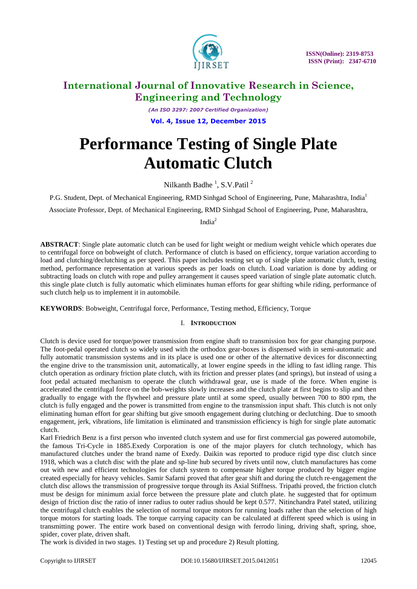

*(An ISO 3297: 2007 Certified Organization)* **Vol. 4, Issue 12, December 2015**

# **Performance Testing of Single Plate Automatic Clutch**

Nilkanth Badhe $\frac{1}{2}$ , S.V. Patil  $\frac{2}{3}$ 

P.G. Student, Dept. of Mechanical Engineering, RMD Sinhgad School of Engineering, Pune, Maharashtra, India<sup>1</sup>

Associate Professor, Dept. of Mechanical Engineering, RMD Sinhgad School of Engineering, Pune, Maharashtra,

India<sup>2</sup>

**ABSTRACT**: Single plate automatic clutch can be used for light weight or medium weight vehicle which operates due to centrifugal force on bobweight of clutch. Performance of clutch is based on efficiency, torque variation according to load and clutching/declutching as per speed. This paper includes testing set up of single plate automatic clutch, testing method, performance representation at various speeds as per loads on clutch. Load variation is done by adding or subtracting loads on clutch with rope and pulley arrangement it causes speed variation of single plate automatic clutch. this single plate clutch is fully automatic which eliminates human efforts for gear shifting while riding, performance of such clutch help us to implement it in automobile.

**KEYWORDS**: Bobweight, Centrifugal force, Performance, Testing method, Efficiency, Torque

### I. **INTRODUCTION**

Clutch is device used for torque/power transmission from engine shaft to transmission box for gear changing purpose. The foot-pedal operated clutch so widely used with the orthodox gear-boxes is dispensed with in semi-automatic and fully automatic transmission systems and in its place is used one or other of the alternative devices for disconnecting the engine drive to the transmission unit, automatically, at lower engine speeds in the idling to fast idling range. This clutch operation as ordinary friction plate clutch, with its friction and presser plates (and springs), but instead of using a foot pedal actuated mechanism to operate the clutch withdrawal gear, use is made of the force. When engine is accelerated the centrifugal force on the bob-weights slowly increases and the clutch plate at first begins to slip and then gradually to engage with the flywheel and pressure plate until at some speed, usually between 700 to 800 rpm, the clutch is fully engaged and the power is transmitted from engine to the transmission input shaft. This clutch is not only eliminating human effort for gear shifting but give smooth engagement during clutching or declutching. Due to smooth engagement, jerk, vibrations, life limitation is eliminated and transmission efficiency is high for single plate automatic clutch.

Karl Friedrich Benz is a first person who invented clutch system and use for first commercial gas powered automobile, the famous Tri-Cycle in 1885.Exedy Corporation is one of the major players for clutch technology, which has manufactured clutches under the brand name of Exedy. Daikin was reported to produce rigid type disc clutch since 1918, which was a clutch disc with the plate and sp-line hub secured by rivets until now, clutch manufactures has come out with new and efficient technologies for clutch system to compensate higher torque produced by bigger engine created especially for heavy vehicles. Samir Safarni proved that after gear shift and during the clutch re-engagement the clutch disc allows the transmission of progressive torque through its Axial Stiffness. Tripathi proved, the friction clutch must be design for minimum axial force between the pressure plate and clutch plate. he suggested that for optimum design of friction disc the ratio of inner radius to outer radius should be kept 0.577. Nitinchandra Patel stated, utilizing the centrifugal clutch enables the selection of normal torque motors for running loads rather than the selection of high torque motors for starting loads. The torque carrying capacity can be calculated at different speed which is using in transmitting power. The entire work based on conventional design with ferrodo lining, driving shaft, spring, shoe, spider, cover plate, driven shaft.

The work is divided in two stages. 1) Testing set up and procedure 2) Result plotting.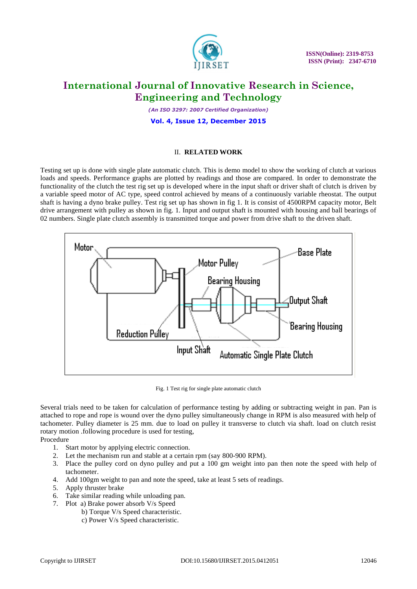

*(An ISO 3297: 2007 Certified Organization)*

#### **Vol. 4, Issue 12, December 2015**

#### II. **RELATED WORK**

Testing set up is done with single plate automatic clutch. This is demo model to show the working of clutch at various loads and speeds. Performance graphs are plotted by readings and those are compared. In order to demonstrate the functionality of the clutch the test rig set up is developed where in the input shaft or driver shaft of clutch is driven by a variable speed motor of AC type, speed control achieved by means of a continuously variable rheostat. The output shaft is having a dyno brake pulley. Test rig set up has shown in fig 1. It is consist of 4500RPM capacity motor, Belt drive arrangement with pulley as shown in fig. 1. Input and output shaft is mounted with housing and ball bearings of 02 numbers. Single plate clutch assembly is transmitted torque and power from drive shaft to the driven shaft.



Fig. 1 Test rig for single plate automatic clutch

Several trials need to be taken for calculation of performance testing by adding or subtracting weight in pan. Pan is attached to rope and rope is wound over the dyno pulley simultaneously change in RPM is also measured with help of tachometer. Pulley diameter is 25 mm. due to load on pulley it transverse to clutch via shaft. load on clutch resist rotary motion .following procedure is used for testing,

Procedure

- 1. Start motor by applying electric connection.
- 2. Let the mechanism run and stable at a certain rpm (say 800-900 RPM).
- 3. Place the pulley cord on dyno pulley and put a 100 gm weight into pan then note the speed with help of tachometer.
- 4. Add 100gm weight to pan and note the speed, take at least 5 sets of readings.
- 5. Apply thruster brake
- 6. Take similar reading while unloading pan.
- 7. Plot a) Brake power absorb V/s Speed
	- b) Torque V/s Speed characteristic.
		- c) Power V/s Speed characteristic.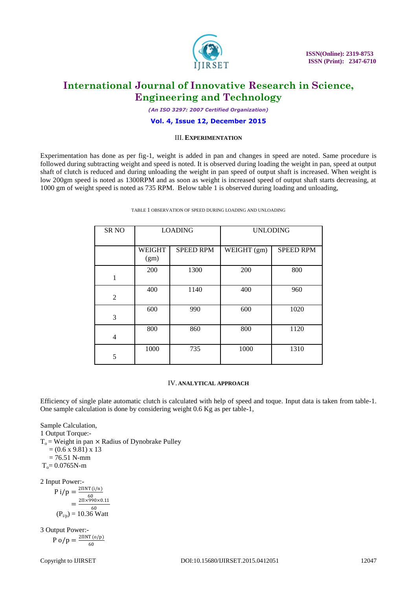

*(An ISO 3297: 2007 Certified Organization)*

#### **Vol. 4, Issue 12, December 2015**

#### III. **EXPERIMENTATION**

Experimentation has done as per fig-1, weight is added in pan and changes in speed are noted. Same procedure is followed during subtracting weight and speed is noted. It is observed during loading the weight in pan, speed at output shaft of clutch is reduced and during unloading the weight in pan speed of output shaft is increased. When weight is low 200gm speed is noted as 1300RPM and as soon as weight is increased speed of output shaft starts decreasing, at 1000 gm of weight speed is noted as 735 RPM. Below table 1 is observed during loading and unloading,

| <b>SRNO</b>    | <b>LOADING</b>        |                  | <b>UNLODING</b> |                  |
|----------------|-----------------------|------------------|-----------------|------------------|
|                | <b>WEIGHT</b><br>(gm) | <b>SPEED RPM</b> | WEIGHT (gm)     | <b>SPEED RPM</b> |
| 1              | 200                   | 1300             | 200             | 800              |
| $\overline{2}$ | 400                   | 1140             | 400             | 960              |
| 3              | 600                   | 990              | 600             | 1020             |
| $\overline{4}$ | 800                   | 860              | 800             | 1120             |
| 5              | 1000                  | 735              | 1000            | 1310             |

TABLE 1 OBSERVATION OF SPEED DURING LOADING AND UNLOADING

#### IV. **ANALYTICAL APPROACH**

Efficiency of single plate automatic clutch is calculated with help of speed and toque. Input data is taken from table-1. One sample calculation is done by considering weight 0.6 Kg as per table-1,

Sample Calculation,

1 Output Torque:-

 $T_0$  = Weight in pan  $\times$  Radius of Dynobrake Pulley  $= (0.6 \times 9.81) \times 13$ 

 $= 76.51$  N-mm

 $T_c = 0.0765N-m$ 

2 Input Power:-

$$
P i/p = \frac{2 \text{IINT}(i/n)}{60}
$$
  
= 
$$
\frac{2 \text{II} \times 990 \times 0.11}{60}
$$
  
(P<sub>ijo</sub>) = 10.36 Watt

3 Output Power:-  $P$  o/p =  $\frac{2\Pi NT (o/p)}{C}$ 60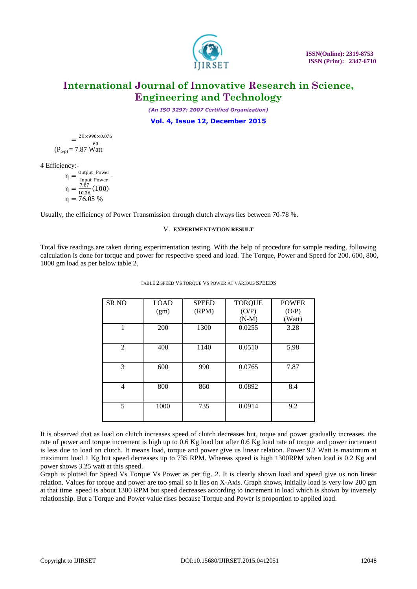

*(An ISO 3297: 2007 Certified Organization)*

**Vol. 4, Issue 12, December 2015**

 $=\frac{2\Pi\times990\times0.076}{60}$  $(P_{o/p}) = 7.87$  Watt

4 Efficiency:-

$$
\eta = \frac{\text{Output Power}}{\text{Input Power}}
$$

$$
\eta = \frac{7.87}{10.36} (100)
$$

$$
\eta = 76.05 \%
$$

Usually, the efficiency of Power Transmission through clutch always lies between 70-78 %.

#### V. **EXPERIMENTATION RESULT**

Total five readings are taken during experimentation testing. With the help of procedure for sample reading, following calculation is done for torque and power for respective speed and load. The Torque, Power and Speed for 200. 600, 800, 1000 gm load as per below table 2.

| <b>SR NO</b>   | <b>LOAD</b><br>(gm) | <b>SPEED</b><br>(RPM) | <b>TORQUE</b><br>(O/P) | <b>POWER</b><br>(O/P) |
|----------------|---------------------|-----------------------|------------------------|-----------------------|
|                |                     |                       | $(N-M)$                | (Watt)                |
|                | 200                 | 1300                  | 0.0255                 | 3.28                  |
|                |                     |                       |                        |                       |
| $\overline{2}$ | 400                 | 1140                  | 0.0510                 | 5.98                  |
|                |                     |                       |                        |                       |
| 3              | 600                 | 990                   | 0.0765                 | 7.87                  |
| 4              | 800                 | 860                   | 0.0892                 | 8.4                   |
|                |                     |                       |                        |                       |
| 5              | 1000                | 735                   | 0.0914                 | 9.2                   |
|                |                     |                       |                        |                       |

#### TABLE 2 SPEED VS TORQUE VS POWER AT VARIOUS SPEEDS

It is observed that as load on clutch increases speed of clutch decreases but, toque and power gradually increases. the rate of power and torque increment is high up to 0.6 Kg load but after 0.6 Kg load rate of torque and power increment is less due to load on clutch. It means load, torque and power give us linear relation. Power 9.2 Watt is maximum at maximum load 1 Kg but speed decreases up to 735 RPM. Whereas speed is high 1300RPM when load is 0.2 Kg and power shows 3.25 watt at this speed.

Graph is plotted for Speed Vs Torque Vs Power as per fig. 2. It is clearly shown load and speed give us non linear relation. Values for torque and power are too small so it lies on X-Axis. Graph shows, initially load is very low 200 gm at that time speed is about 1300 RPM but speed decreases according to increment in load which is shown by inversely relationship. But a Torque and Power value rises because Torque and Power is proportion to applied load.